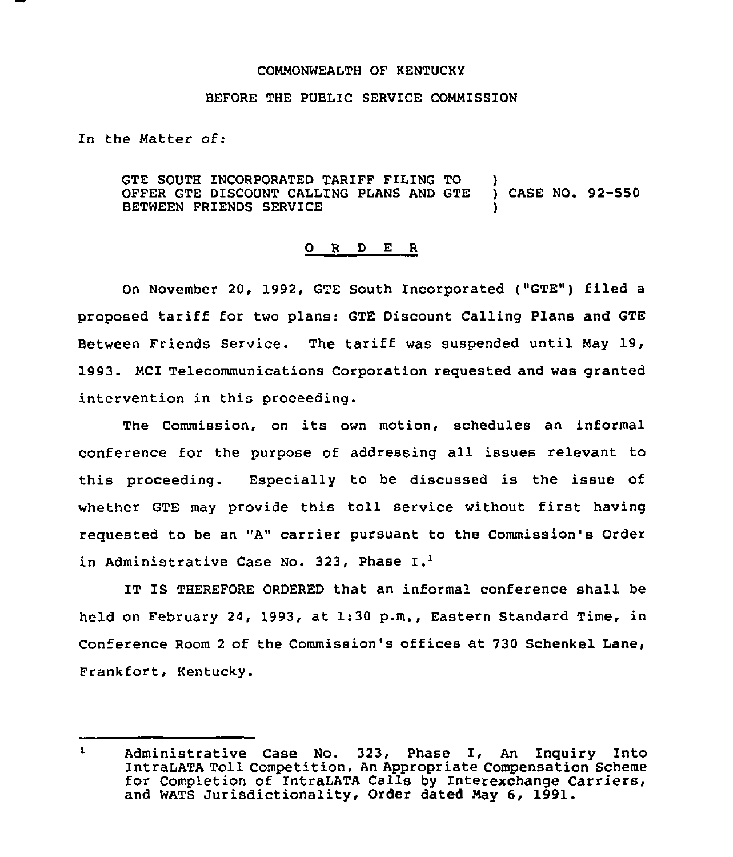## COMMONWEALTH OF KENTUCKY

## BEFORE THE PUBLIC SERVICE COMMISSION

In the Matter of:

GTE SOUTH INCORPORATED TARIFF FILING TO )<br>OFFER GTE DISCOUNT CALLING PLANS AND GTE ) CASE NO. 92-550 OFFER GTE DISCOUNT CALLING PLANS AND GTE BETWEEN FRIENDS SERVICE )

## 0 R <sup>D</sup> E <sup>R</sup>

On November 20, 1992, GTE South Incorporated ("GTE") filed a proposed tariff for two plans: GTE Discount Calling Plans and GTE Between Friends Service. The tariff was suspended until May 19, 1993. MCI Telecommunications Corporation requested and was granted intervention in this proceeding.

The Commission, on its own motion, schedules an informal conference for the purpose of addressing all issues relevant to this proceeding. Especially to be discussed is the issue of whether GTE may provide this toll service without first having requested to be an "A" carrier pursuant to the Commission's Order in Administrative Case No. 323, Phase I.<sup>1</sup>

IT IS THEREFORE ORDERED that an informal conference shall be held on February 24, 1993, at 1:30 p.m., Eastern Standard Time, in Conference Room <sup>2</sup> of the Commission's offices at 730 Schenkel Lane, Frankfort, Kentucky.

 $\mathbf{1}$ Administrative Case No. 323, Phase I, An Inquiry Into IntraLATA Toll Competition, An Appropriate Compensation Scheme for Completion of IntraLATA Calls by Interexchange Carriers, and WATS Jurisdictionality, Order dated May 6, 1991.